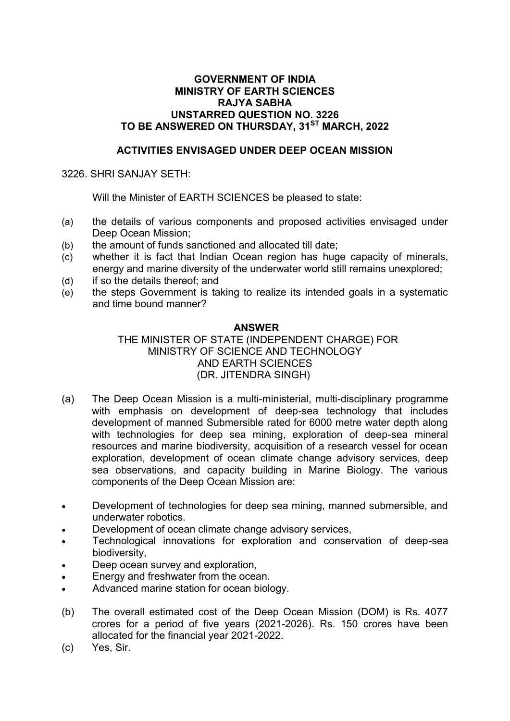## **GOVERNMENT OF INDIA MINISTRY OF EARTH SCIENCES RAJYA SABHA UNSTARRED QUESTION NO. 3226 TO BE ANSWERED ON THURSDAY, 31ST MARCH, 2022**

# **ACTIVITIES ENVISAGED UNDER DEEP OCEAN MISSION**

### 3226. SHRI SANJAY SETH:

Will the Minister of EARTH SCIENCES be pleased to state:

- (a) the details of various components and proposed activities envisaged under Deep Ocean Mission;
- (b) the amount of funds sanctioned and allocated till date;
- (c) whether it is fact that Indian Ocean region has huge capacity of minerals, energy and marine diversity of the underwater world still remains unexplored;
- (d) if so the details thereof; and
- (e) the steps Government is taking to realize its intended goals in a systematic and time bound manner?

### **ANSWER**

# THE MINISTER OF STATE (INDEPENDENT CHARGE) FOR MINISTRY OF SCIENCE AND TECHNOLOGY AND EARTH SCIENCES (DR. JITENDRA SINGH)

- (a) The Deep Ocean Mission is a multi-ministerial, multi-disciplinary programme with emphasis on development of deep-sea technology that includes development of manned Submersible rated for 6000 metre water depth along with technologies for deep sea mining, exploration of deep-sea mineral resources and marine biodiversity, acquisition of a research vessel for ocean exploration, development of ocean climate change advisory services, deep sea observations, and capacity building in Marine Biology. The various components of the Deep Ocean Mission are:
- Development of technologies for deep sea mining, manned submersible, and underwater robotics.
- Development of ocean climate change advisory services,
- Technological innovations for exploration and conservation of deep-sea biodiversity,
- Deep ocean survey and exploration,
- Energy and freshwater from the ocean.
- Advanced marine station for ocean biology.
- (b) The overall estimated cost of the Deep Ocean Mission (DOM) is Rs. 4077 crores for a period of five years (2021-2026). Rs. 150 crores have been allocated for the financial year 2021-2022.
- (c) Yes, Sir.